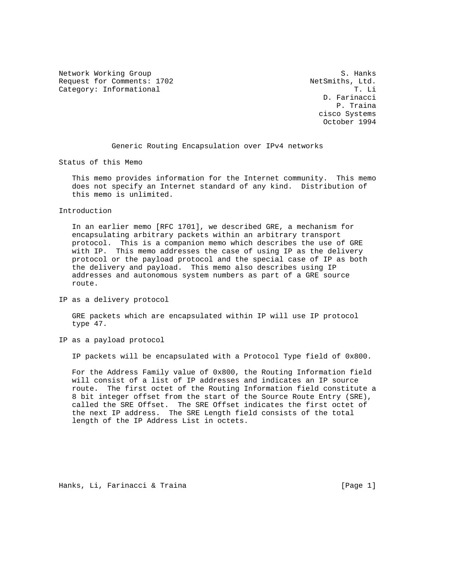Network Working Group S. Hanks Request for Comments: 1702 NetSmiths, Ltd.<br>Category: Informational T. Li Category: Informational

 D. Farinacci P. Traina cisco Systems October 1994

Generic Routing Encapsulation over IPv4 networks

Status of this Memo

 This memo provides information for the Internet community. This memo does not specify an Internet standard of any kind. Distribution of this memo is unlimited.

## Introduction

 In an earlier memo [RFC 1701], we described GRE, a mechanism for encapsulating arbitrary packets within an arbitrary transport protocol. This is a companion memo which describes the use of GRE with IP. This memo addresses the case of using IP as the delivery protocol or the payload protocol and the special case of IP as both the delivery and payload. This memo also describes using IP addresses and autonomous system numbers as part of a GRE source route.

IP as a delivery protocol

 GRE packets which are encapsulated within IP will use IP protocol type 47.

IP as a payload protocol

IP packets will be encapsulated with a Protocol Type field of 0x800.

 For the Address Family value of 0x800, the Routing Information field will consist of a list of IP addresses and indicates an IP source route. The first octet of the Routing Information field constitute a 8 bit integer offset from the start of the Source Route Entry (SRE), called the SRE Offset. The SRE Offset indicates the first octet of the next IP address. The SRE Length field consists of the total length of the IP Address List in octets.

Hanks, Li, Farinacci & Traina (Page 1)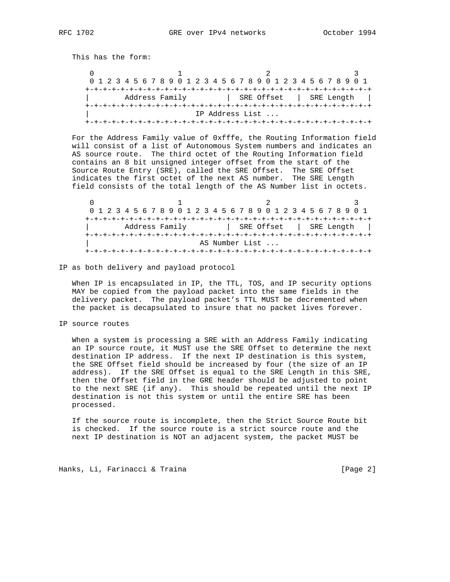This has the form:

0  $1$  2 3 0 1 2 3 4 5 6 7 8 9 0 1 2 3 4 5 6 7 8 9 0 1 2 3 4 5 6 7 8 9 0 1 +-+-+-+-+-+-+-+-+-+-+-+-+-+-+-+-+-+-+-+-+-+-+-+-+-+-+-+-+-+-+-+-+ | Address Family | SRE Offset | SRE Length | +-+-+-+-+-+-+-+-+-+-+-+-+-+-+-+-+-+-+-+-+-+-+-+-+-+-+-+-+-+-+-+-+ | IP Address List ... +-+-+-+-+-+-+-+-+-+-+-+-+-+-+-+-+-+-+-+-+-+-+-+-+-+-+-+-+-+-+-+-+

 For the Address Family value of 0xfffe, the Routing Information field will consist of a list of Autonomous System numbers and indicates an AS source route. The third octet of the Routing Information field contains an 8 bit unsigned integer offset from the start of the Source Route Entry (SRE), called the SRE Offset. The SRE Offset indicates the first octet of the next AS number. THe SRE Length field consists of the total length of the AS Number list in octets.

 $0$  1 2 3 0 1 2 3 4 5 6 7 8 9 0 1 2 3 4 5 6 7 8 9 0 1 2 3 4 5 6 7 8 9 0 1 +-+-+-+-+-+-+-+-+-+-+-+-+-+-+-+-+-+-+-+-+-+-+-+-+-+-+-+-+-+-+-+-+ | Address Family | SRE Offset | SRE Length | +-+-+-+-+-+-+-+-+-+-+-+-+-+-+-+-+-+-+-+-+-+-+-+-+-+-+-+-+-+-+-+-+ | AS Number List ... +-+-+-+-+-+-+-+-+-+-+-+-+-+-+-+-+-+-+-+-+-+-+-+-+-+-+-+-+-+-+-+-+

IP as both delivery and payload protocol

 When IP is encapsulated in IP, the TTL, TOS, and IP security options MAY be copied from the payload packet into the same fields in the delivery packet. The payload packet's TTL MUST be decremented when the packet is decapsulated to insure that no packet lives forever.

IP source routes

 When a system is processing a SRE with an Address Family indicating an IP source route, it MUST use the SRE Offset to determine the next destination IP address. If the next IP destination is this system, the SRE Offset field should be increased by four (the size of an IP address). If the SRE Offset is equal to the SRE Length in this SRE, then the Offset field in the GRE header should be adjusted to point to the next SRE (if any). This should be repeated until the next IP destination is not this system or until the entire SRE has been processed.

 If the source route is incomplete, then the Strict Source Route bit is checked. If the source route is a strict source route and the next IP destination is NOT an adjacent system, the packet MUST be

Hanks, Li, Farinacci & Traina and a control control (Page 2)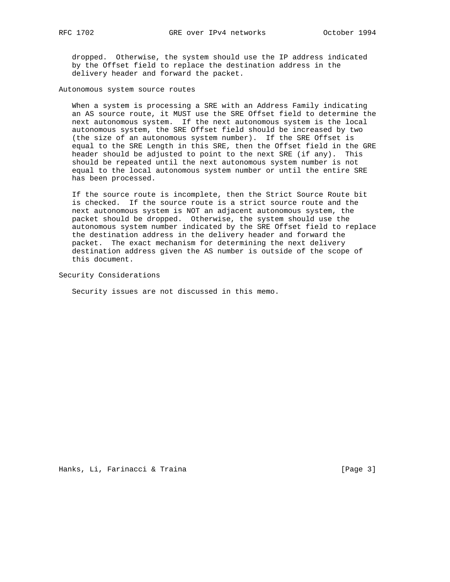dropped. Otherwise, the system should use the IP address indicated by the Offset field to replace the destination address in the delivery header and forward the packet.

Autonomous system source routes

 When a system is processing a SRE with an Address Family indicating an AS source route, it MUST use the SRE Offset field to determine the next autonomous system. If the next autonomous system is the local autonomous system, the SRE Offset field should be increased by two (the size of an autonomous system number). If the SRE Offset is equal to the SRE Length in this SRE, then the Offset field in the GRE header should be adjusted to point to the next SRE (if any). This should be repeated until the next autonomous system number is not equal to the local autonomous system number or until the entire SRE has been processed.

 If the source route is incomplete, then the Strict Source Route bit is checked. If the source route is a strict source route and the next autonomous system is NOT an adjacent autonomous system, the packet should be dropped. Otherwise, the system should use the autonomous system number indicated by the SRE Offset field to replace the destination address in the delivery header and forward the packet. The exact mechanism for determining the next delivery destination address given the AS number is outside of the scope of this document.

Security Considerations

Security issues are not discussed in this memo.

Hanks, Li, Farinacci & Traina and a control and the set of the set of the set of the set of the set of the set o